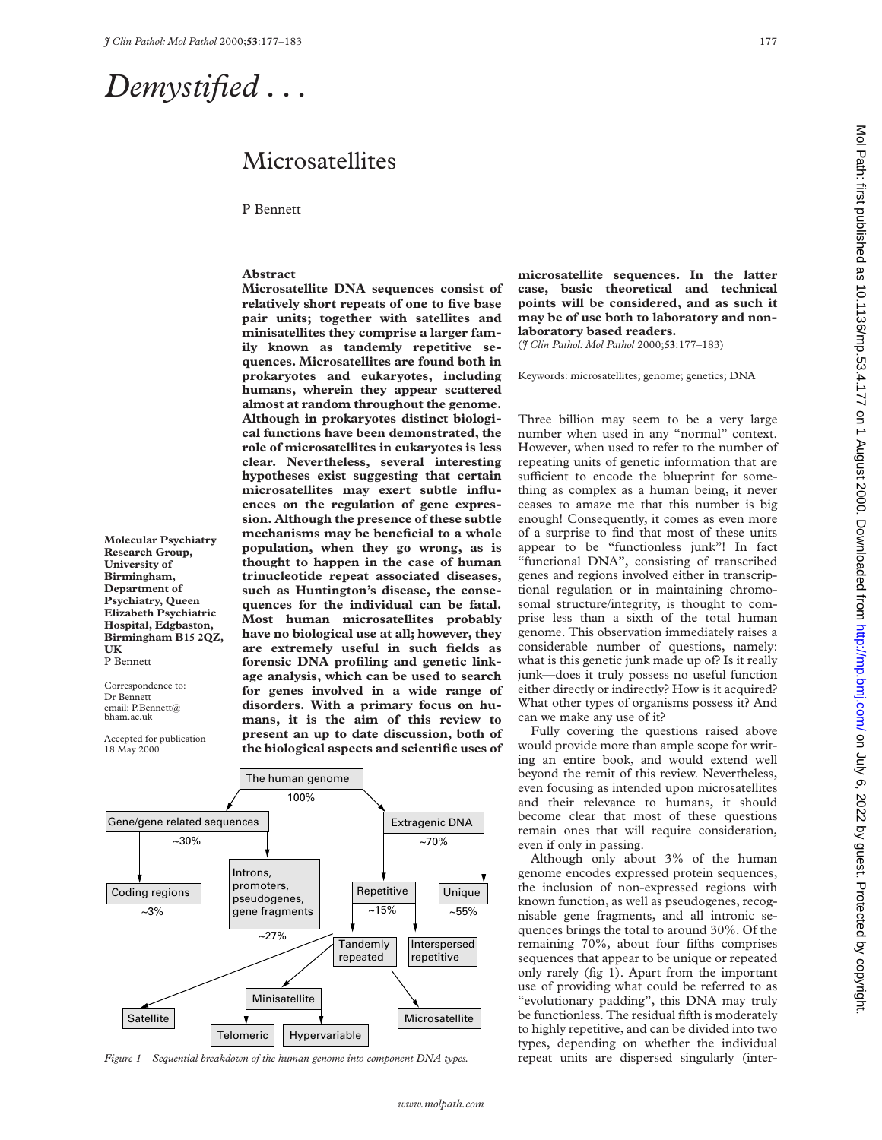# *Demystified . . .*

**Molecular Psychiatry Research Group, University of Birmingham, Department of Psychiatry, Queen Elizabeth Psychiatric Hospital, Edgbaston, Birmingham B15 2QZ,**

**UK** P Bennett

Correspondence to: Dr Bennett email: P.Bennett@ bham.ac.uk

Accepted for publication 18 May 2000

# Microsatellites

P Bennett

## **Abstract**

**Microsatellite DNA sequences consist of relatively short repeats of one to five base pair units; together with satellites and minisatellites they comprise a larger family known as tandemly repetitive sequences. Microsatellites are found both in prokaryotes and eukaryotes, including humans, wherein they appear scattered almost at random throughout the genome. Although in prokaryotes distinct biological functions have been demonstrated, the role of microsatellites in eukaryotes is less clear. Nevertheless, several interesting hypotheses exist suggesting that certain microsatellites may exert subtle influences on the regulation of gene expression. Although the presence of these subtle mechanisms may be beneficial to a whole population, when they go wrong, as is thought to happen in the case of human trinucleotide repeat associated diseases, such as Huntington's disease, the consequences for the individual can be fatal. Most human microsatellites probably have no biological use at all; however, they are extremely useful in such fields as forensic DNA profiling and genetic linkage analysis, which can be used to search for genes involved in a wide range of disorders. With a primary focus on humans, it is the aim of this review to present an up to date discussion, both of the biological aspects and scientific uses of**



*Figure 1 Sequential breakdown of the human genome into component DNA types.* repeat units are dispersed singularly (inter-

**microsatellite sequences. In the latter case, basic theoretical and technical points will be considered, and as such it may be of use both to laboratory and nonlaboratory based readers.**

(*J Clin Pathol: Mol Pathol* 2000;**53**:177–183)

Keywords: microsatellites; genome; genetics; DNA

Three billion may seem to be a very large number when used in any "normal" context. However, when used to refer to the number of repeating units of genetic information that are sufficient to encode the blueprint for something as complex as a human being, it never ceases to amaze me that this number is big enough! Consequently, it comes as even more of a surprise to find that most of these units appear to be "functionless junk"! In fact "functional DNA", consisting of transcribed genes and regions involved either in transcriptional regulation or in maintaining chromosomal structure/integrity, is thought to comprise less than a sixth of the total human genome. This observation immediately raises a considerable number of questions, namely: what is this genetic junk made up of? Is it really junk—does it truly possess no useful function either directly or indirectly? How is it acquired? What other types of organisms possess it? And can we make any use of it?

Fully covering the questions raised above would provide more than ample scope for writing an entire book, and would extend well beyond the remit of this review. Nevertheless, even focusing as intended upon microsatellites and their relevance to humans, it should become clear that most of these questions remain ones that will require consideration, even if only in passing.

Although only about 3% of the human genome encodes expressed protein sequences, the inclusion of non-expressed regions with known function, as well as pseudogenes, recognisable gene fragments, and all intronic sequences brings the total to around 30%. Of the remaining 70%, about four fifths comprises sequences that appear to be unique or repeated only rarely (fig 1). Apart from the important use of providing what could be referred to as "evolutionary padding", this DNA may truly be functionless. The residual fifth is moderately to highly repetitive, and can be divided into two types, depending on whether the individual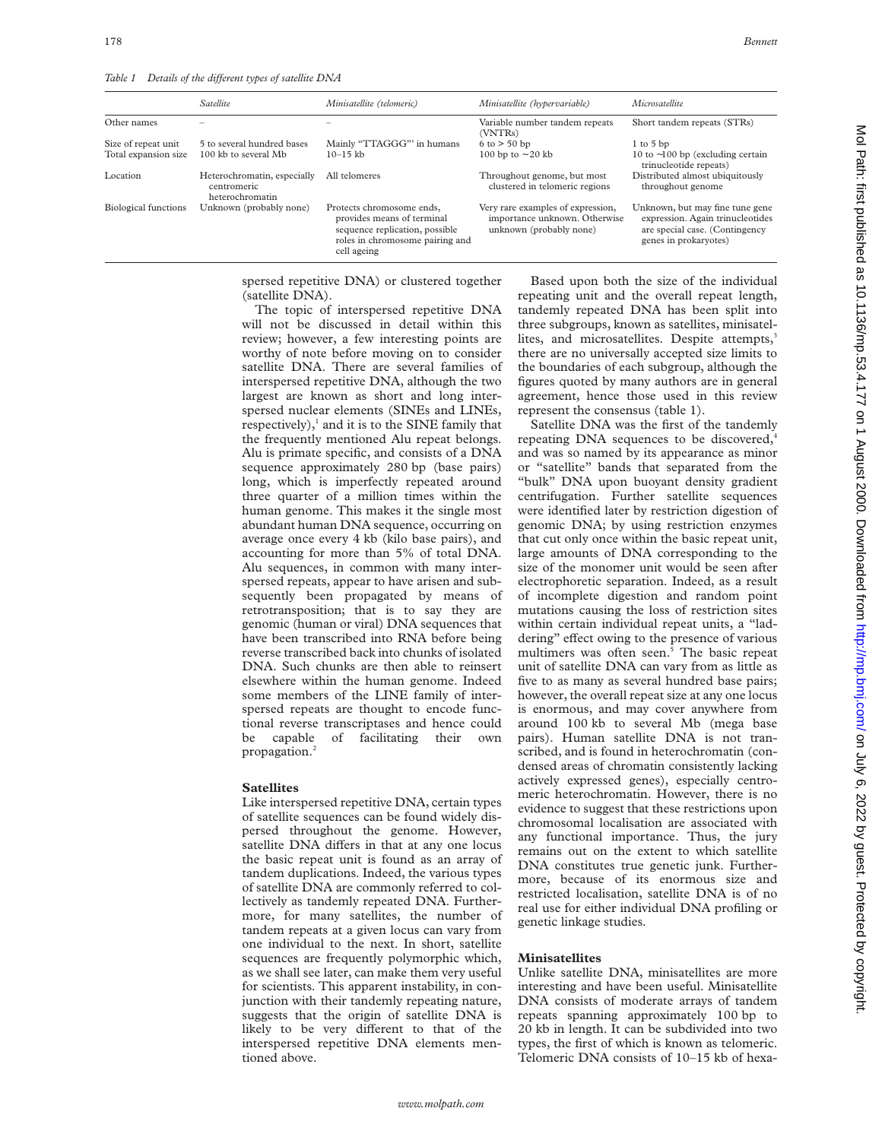Table 1 Details of the different types of satellite DNA

|                             | Satellite                                                     | Minisatellite (telomeric)                                                                                                                   | Minisatellite (hypervariable)                                                                 | Microsatellite                                                                                                                 |
|-----------------------------|---------------------------------------------------------------|---------------------------------------------------------------------------------------------------------------------------------------------|-----------------------------------------------------------------------------------------------|--------------------------------------------------------------------------------------------------------------------------------|
| Other names                 |                                                               |                                                                                                                                             | Variable number tandem repeats<br>(VNTRs)                                                     | Short tandem repeats (STRs)                                                                                                    |
| Size of repeat unit         | 5 to several hundred bases                                    | Mainly "TTAGGG" in humans                                                                                                                   | $6$ to $> 50$ bp                                                                              | $1$ to $5$ bp                                                                                                                  |
| Total expansion size        | 100 kb to several Mb                                          | $10 - 15$ kb                                                                                                                                | 100 bp to $\sim$ 20 kb                                                                        | 10 to $\sim$ 100 bp (excluding certain<br>trinucleotide repeats)                                                               |
| Location                    | Heterochromatin, especially<br>centromeric<br>heterochromatin | All telomeres                                                                                                                               | Throughout genome, but most<br>clustered in telomeric regions                                 | Distributed almost ubiquitously<br>throughout genome                                                                           |
| <b>Biological functions</b> | Unknown (probably none)                                       | Protects chromosome ends,<br>provides means of terminal<br>sequence replication, possible<br>roles in chromosome pairing and<br>cell ageing | Very rare examples of expression,<br>importance unknown. Otherwise<br>unknown (probably none) | Unknown, but may fine tune gene<br>expression. Again trinucleotides<br>are special case. (Contingency<br>genes in prokaryotes) |

spersed repetitive DNA) or clustered together (satellite DNA).

The topic of interspersed repetitive DNA will not be discussed in detail within this review; however, a few interesting points are worthy of note before moving on to consider satellite DNA. There are several families of interspersed repetitive DNA, although the two largest are known as short and long interspersed nuclear elements (SINEs and LINEs, respectively), $\frac{1}{2}$  and it is to the SINE family that the frequently mentioned Alu repeat belongs. Alu is primate specific, and consists of a DNA sequence approximately 280 bp (base pairs) long, which is imperfectly repeated around three quarter of a million times within the human genome. This makes it the single most abundant human DNA sequence, occurring on average once every 4 kb (kilo base pairs), and accounting for more than 5% of total DNA. Alu sequences, in common with many interspersed repeats, appear to have arisen and subsequently been propagated by means of retrotransposition; that is to say they are genomic (human or viral) DNA sequences that have been transcribed into RNA before being reverse transcribed back into chunks of isolated DNA. Such chunks are then able to reinsert elsewhere within the human genome. Indeed some members of the LINE family of interspersed repeats are thought to encode functional reverse transcriptases and hence could be capable of facilitating their own propagation.<sup>2</sup>

#### **Satellites**

Like interspersed repetitive DNA, certain types of satellite sequences can be found widely dispersed throughout the genome. However, satellite DNA differs in that at any one locus the basic repeat unit is found as an array of tandem duplications. Indeed, the various types of satellite DNA are commonly referred to collectively as tandemly repeated DNA. Furthermore, for many satellites, the number of tandem repeats at a given locus can vary from one individual to the next. In short, satellite sequences are frequently polymorphic which, as we shall see later, can make them very useful for scientists. This apparent instability, in conjunction with their tandemly repeating nature, suggests that the origin of satellite DNA is likely to be very different to that of the interspersed repetitive DNA elements mentioned above.

Based upon both the size of the individual repeating unit and the overall repeat length, tandemly repeated DNA has been split into three subgroups, known as satellites, minisatellites, and microsatellites. Despite attempts,<sup>3</sup> there are no universally accepted size limits to the boundaries of each subgroup, although the figures quoted by many authors are in general agreement, hence those used in this review represent the consensus (table 1).

Satellite DNA was the first of the tandemly repeating DNA sequences to be discovered,<sup>4</sup> and was so named by its appearance as minor or "satellite" bands that separated from the "bulk" DNA upon buoyant density gradient centrifugation. Further satellite sequences were identified later by restriction digestion of genomic DNA; by using restriction enzymes that cut only once within the basic repeat unit, large amounts of DNA corresponding to the size of the monomer unit would be seen after electrophoretic separation. Indeed, as a result of incomplete digestion and random point mutations causing the loss of restriction sites within certain individual repeat units, a "laddering" effect owing to the presence of various multimers was often seen. $\frac{1}{5}$  The basic repeat unit of satellite DNA can vary from as little as five to as many as several hundred base pairs; however, the overall repeat size at any one locus is enormous, and may cover anywhere from around 100 kb to several Mb (mega base pairs). Human satellite DNA is not transcribed, and is found in heterochromatin (condensed areas of chromatin consistently lacking actively expressed genes), especially centromeric heterochromatin. However, there is no evidence to suggest that these restrictions upon chromosomal localisation are associated with any functional importance. Thus, the jury remains out on the extent to which satellite DNA constitutes true genetic junk. Furthermore, because of its enormous size and restricted localisation, satellite DNA is of no real use for either individual DNA profiling or genetic linkage studies.

# **Minisatellites**

Unlike satellite DNA, minisatellites are more interesting and have been useful. Minisatellite DNA consists of moderate arrays of tandem repeats spanning approximately 100 bp to 20 kb in length. It can be subdivided into two types, the first of which is known as telomeric. Telomeric DNA consists of 10–15 kb of hexa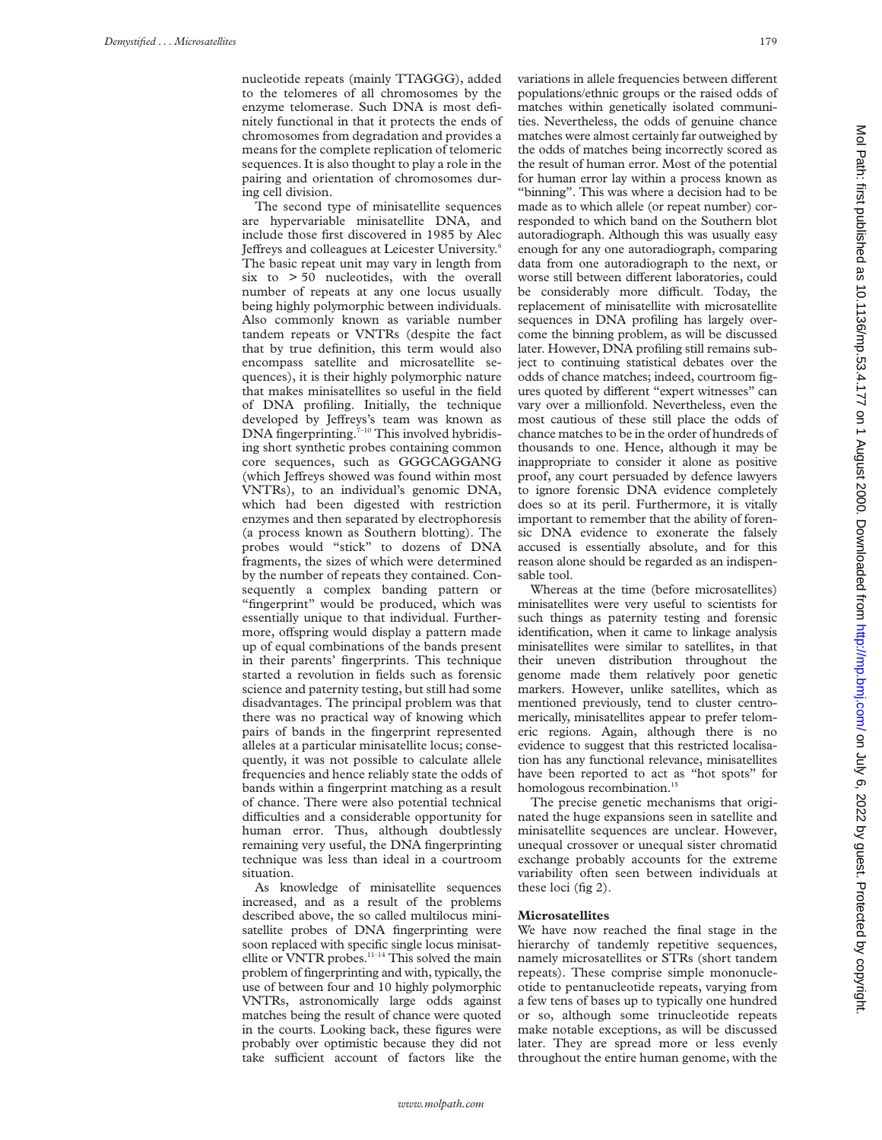nucleotide repeats (mainly TTAGGG), added to the telomeres of all chromosomes by the enzyme telomerase. Such DNA is most definitely functional in that it protects the ends of chromosomes from degradation and provides a means for the complete replication of telomeric sequences. It is also thought to play a role in the pairing and orientation of chromosomes during cell division.

The second type of minisatellite sequences are hypervariable minisatellite DNA, and include those first discovered in 1985 by Alec Jeffreys and colleagues at Leicester University.<sup>6</sup> The basic repeat unit may vary in length from six to > 50 nucleotides, with the overall number of repeats at any one locus usually being highly polymorphic between individuals. Also commonly known as variable number tandem repeats or VNTRs (despite the fact that by true definition, this term would also encompass satellite and microsatellite sequences), it is their highly polymorphic nature that makes minisatellites so useful in the field of DNA profiling. Initially, the technique developed by Jeffreys's team was known as DNA fingerprinting.<sup>7-10</sup> This involved hybridising short synthetic probes containing common core sequences, such as GGGCAGGANG (which Jeffreys showed was found within most VNTRs), to an individual's genomic DNA, which had been digested with restriction enzymes and then separated by electrophoresis (a process known as Southern blotting). The probes would "stick" to dozens of DNA fragments, the sizes of which were determined by the number of repeats they contained. Consequently a complex banding pattern or "fingerprint" would be produced, which was essentially unique to that individual. Furthermore, offspring would display a pattern made up of equal combinations of the bands present in their parents' fingerprints. This technique started a revolution in fields such as forensic science and paternity testing, but still had some disadvantages. The principal problem was that there was no practical way of knowing which pairs of bands in the fingerprint represented alleles at a particular minisatellite locus; consequently, it was not possible to calculate allele frequencies and hence reliably state the odds of bands within a fingerprint matching as a result of chance. There were also potential technical difficulties and a considerable opportunity for human error. Thus, although doubtlessly remaining very useful, the DNA fingerprinting technique was less than ideal in a courtroom situation.

As knowledge of minisatellite sequences increased, and as a result of the problems described above, the so called multilocus minisatellite probes of DNA fingerprinting were soon replaced with specific single locus minisatellite or VNTR probes.<sup>11-14</sup> This solved the main problem of fingerprinting and with, typically, the use of between four and 10 highly polymorphic VNTRs, astronomically large odds against matches being the result of chance were quoted in the courts. Looking back, these figures were probably over optimistic because they did not take sufficient account of factors like the

variations in allele frequencies between different populations/ethnic groups or the raised odds of matches within genetically isolated communities. Nevertheless, the odds of genuine chance matches were almost certainly far outweighed by the odds of matches being incorrectly scored as the result of human error. Most of the potential for human error lay within a process known as "binning". This was where a decision had to be made as to which allele (or repeat number) corresponded to which band on the Southern blot autoradiograph. Although this was usually easy enough for any one autoradiograph, comparing data from one autoradiograph to the next, or worse still between different laboratories, could be considerably more difficult. Today, the replacement of minisatellite with microsatellite sequences in DNA profiling has largely overcome the binning problem, as will be discussed later. However, DNA profiling still remains subject to continuing statistical debates over the odds of chance matches; indeed, courtroom figures quoted by different "expert witnesses" can vary over a millionfold. Nevertheless, even the most cautious of these still place the odds of chance matches to be in the order of hundreds of thousands to one. Hence, although it may be inappropriate to consider it alone as positive proof, any court persuaded by defence lawyers to ignore forensic DNA evidence completely does so at its peril. Furthermore, it is vitally important to remember that the ability of forensic DNA evidence to exonerate the falsely accused is essentially absolute, and for this reason alone should be regarded as an indispensable tool.

Whereas at the time (before microsatellites) minisatellites were very useful to scientists for such things as paternity testing and forensic identification, when it came to linkage analysis minisatellites were similar to satellites, in that their uneven distribution throughout the genome made them relatively poor genetic markers. However, unlike satellites, which as mentioned previously, tend to cluster centromerically, minisatellites appear to prefer telomeric regions. Again, although there is no evidence to suggest that this restricted localisation has any functional relevance, minisatellites have been reported to act as "hot spots" for homologous recombination.<sup>15</sup>

The precise genetic mechanisms that originated the huge expansions seen in satellite and minisatellite sequences are unclear. However, unequal crossover or unequal sister chromatid exchange probably accounts for the extreme variability often seen between individuals at these loci (fig 2).

### **Microsatellites**

We have now reached the final stage in the hierarchy of tandemly repetitive sequences, namely microsatellites or STRs (short tandem repeats). These comprise simple mononucleotide to pentanucleotide repeats, varying from a few tens of bases up to typically one hundred or so, although some trinucleotide repeats make notable exceptions, as will be discussed later. They are spread more or less evenly throughout the entire human genome, with the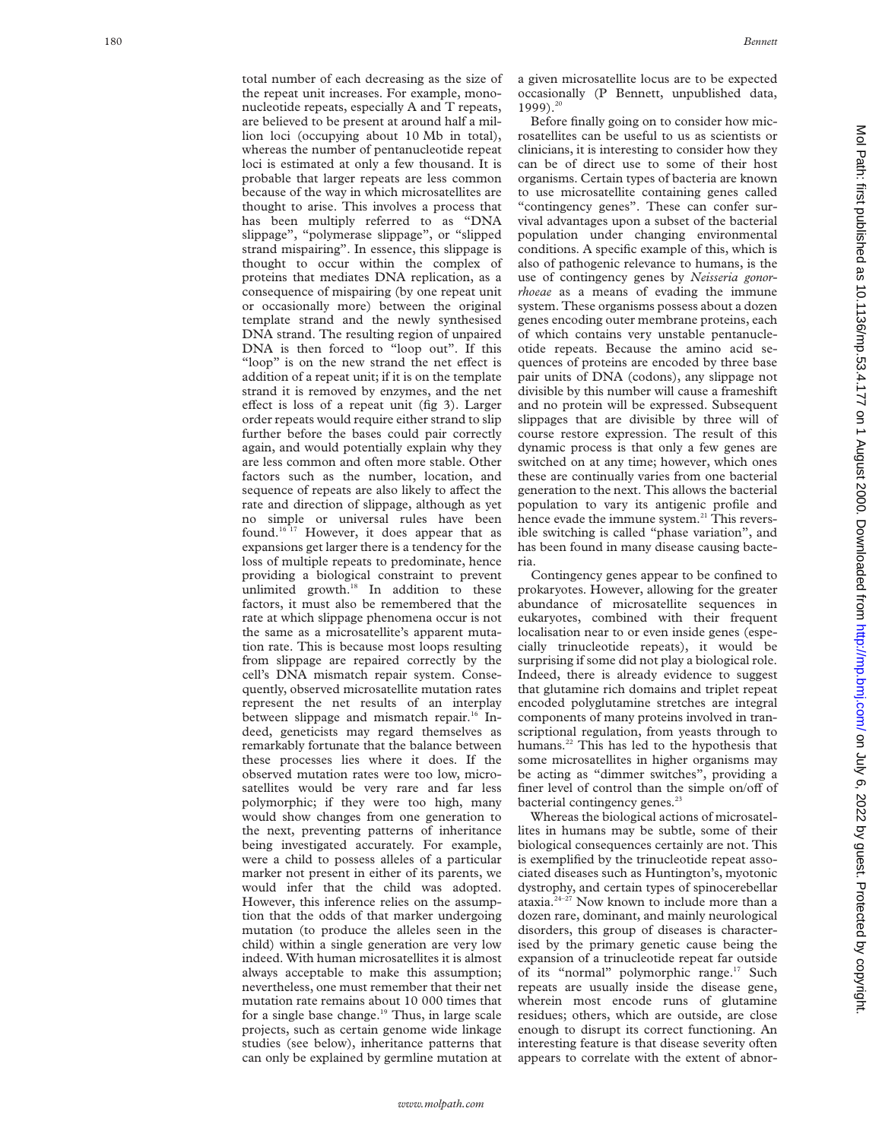total number of each decreasing as the size of the repeat unit increases. For example, mononucleotide repeats, especially A and T repeats, are believed to be present at around half a million loci (occupying about 10 Mb in total), whereas the number of pentanucleotide repeat loci is estimated at only a few thousand. It is probable that larger repeats are less common because of the way in which microsatellites are thought to arise. This involves a process that has been multiply referred to as "DNA slippage", "polymerase slippage", or "slipped strand mispairing". In essence, this slippage is thought to occur within the complex of proteins that mediates DNA replication, as a consequence of mispairing (by one repeat unit or occasionally more) between the original template strand and the newly synthesised DNA strand. The resulting region of unpaired DNA is then forced to "loop out". If this "loop" is on the new strand the net effect is addition of a repeat unit; if it is on the template strand it is removed by enzymes, and the net effect is loss of a repeat unit (fig  $3$ ). Larger order repeats would require either strand to slip further before the bases could pair correctly again, and would potentially explain why they are less common and often more stable. Other factors such as the number, location, and sequence of repeats are also likely to affect the rate and direction of slippage, although as yet no simple or universal rules have been found.16 17 However, it does appear that as expansions get larger there is a tendency for the loss of multiple repeats to predominate, hence providing a biological constraint to prevent unlimited growth. $18$  In addition to these factors, it must also be remembered that the rate at which slippage phenomena occur is not the same as a microsatellite's apparent mutation rate. This is because most loops resulting from slippage are repaired correctly by the cell's DNA mismatch repair system. Consequently, observed microsatellite mutation rates represent the net results of an interplay between slippage and mismatch repair.<sup>16</sup> Indeed, geneticists may regard themselves as remarkably fortunate that the balance between these processes lies where it does. If the observed mutation rates were too low, microsatellites would be very rare and far less polymorphic; if they were too high, many would show changes from one generation to the next, preventing patterns of inheritance being investigated accurately. For example, were a child to possess alleles of a particular marker not present in either of its parents, we would infer that the child was adopted. However, this inference relies on the assumption that the odds of that marker undergoing mutation (to produce the alleles seen in the child) within a single generation are very low indeed. With human microsatellites it is almost always acceptable to make this assumption; nevertheless, one must remember that their net mutation rate remains about 10 000 times that for a single base change.<sup>19</sup> Thus, in large scale projects, such as certain genome wide linkage studies (see below), inheritance patterns that can only be explained by germline mutation at

a given microsatellite locus are to be expected occasionally (P Bennett, unpublished data,  $1999$ ).<sup>20</sup>

Before finally going on to consider how microsatellites can be useful to us as scientists or clinicians, it is interesting to consider how they can be of direct use to some of their host organisms. Certain types of bacteria are known to use microsatellite containing genes called "contingency genes". These can confer survival advantages upon a subset of the bacterial population under changing environmental conditions. A specific example of this, which is also of pathogenic relevance to humans, is the use of contingency genes by *Neisseria gonorrhoeae* as a means of evading the immune system. These organisms possess about a dozen genes encoding outer membrane proteins, each of which contains very unstable pentanucleotide repeats. Because the amino acid sequences of proteins are encoded by three base pair units of DNA (codons), any slippage not divisible by this number will cause a frameshift and no protein will be expressed. Subsequent slippages that are divisible by three will of course restore expression. The result of this dynamic process is that only a few genes are switched on at any time; however, which ones these are continually varies from one bacterial generation to the next. This allows the bacterial population to vary its antigenic profile and hence evade the immune system.<sup>21</sup> This reversible switching is called "phase variation", and has been found in many disease causing bacteria.

Contingency genes appear to be confined to prokaryotes. However, allowing for the greater abundance of microsatellite sequences in eukaryotes, combined with their frequent localisation near to or even inside genes (especially trinucleotide repeats), it would be surprising if some did not play a biological role. Indeed, there is already evidence to suggest that glutamine rich domains and triplet repeat encoded polyglutamine stretches are integral components of many proteins involved in transcriptional regulation, from yeasts through to humans.<sup>22</sup> This has led to the hypothesis that some microsatellites in higher organisms may be acting as "dimmer switches", providing a finer level of control than the simple on/off of bacterial contingency genes.<sup>23</sup>

Whereas the biological actions of microsatellites in humans may be subtle, some of their biological consequences certainly are not. This is exemplified by the trinucleotide repeat associated diseases such as Huntington's, myotonic dystrophy, and certain types of spinocerebellar ataxia.24–27 Now known to include more than a dozen rare, dominant, and mainly neurological disorders, this group of diseases is characterised by the primary genetic cause being the expansion of a trinucleotide repeat far outside of its "normal" polymorphic range.<sup>17</sup> Such repeats are usually inside the disease gene, wherein most encode runs of glutamine residues; others, which are outside, are close enough to disrupt its correct functioning. An interesting feature is that disease severity often appears to correlate with the extent of abnor-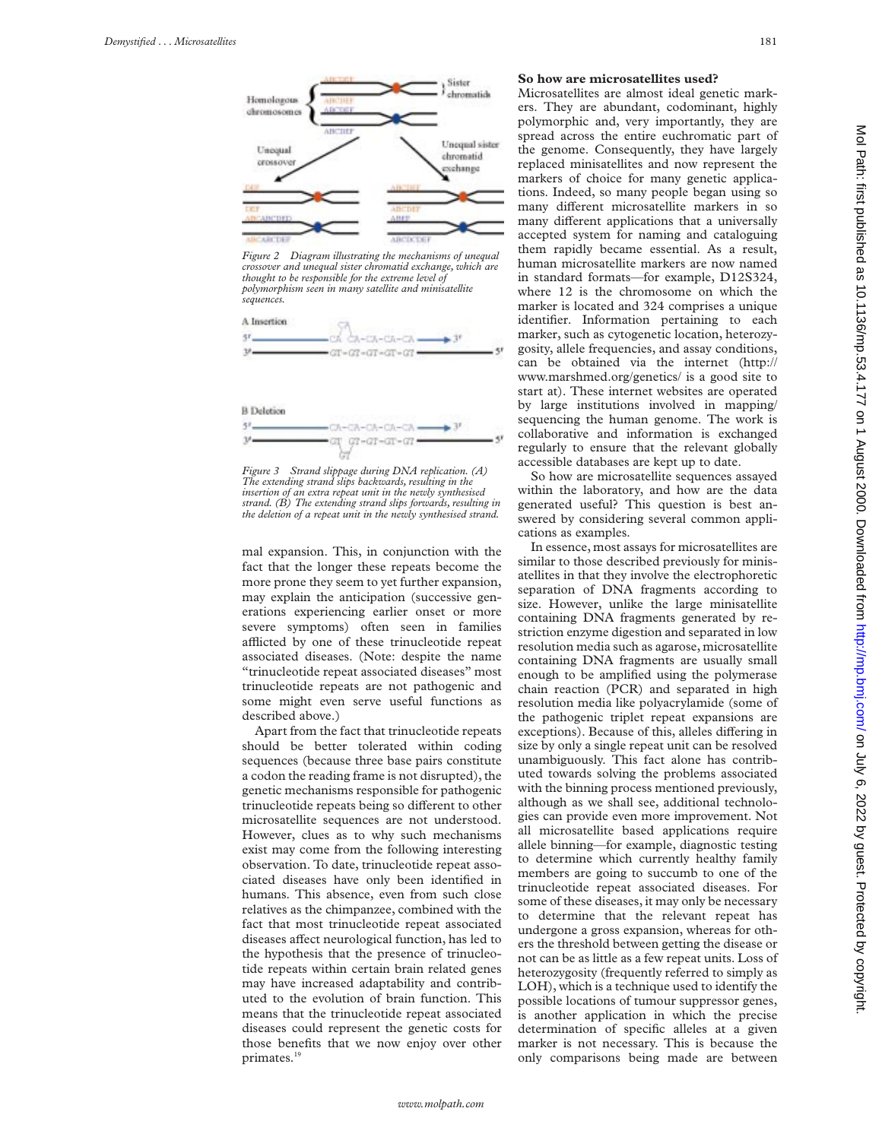

*Figure 2 Diagram illustrating the mechanisms of unequal crossover and unequal sister chromatid exchange, which are thought to be responsible for the extreme level of polymorphism seen in many satellite and minisatellite sequences.*





*Figure 3 Strand slippage during DNA replication. (A) The extending strand slips backwards, resulting in the insertion of an extra repeat unit in the newly synthesised strand. (B) The extending strand slips forwards, resulting in the deletion of a repeat unit in the newly synthesised strand.*

mal expansion. This, in conjunction with the fact that the longer these repeats become the more prone they seem to yet further expansion, may explain the anticipation (successive generations experiencing earlier onset or more severe symptoms) often seen in families afflicted by one of these trinucleotide repeat associated diseases. (Note: despite the name "trinucleotide repeat associated diseases" most trinucleotide repeats are not pathogenic and some might even serve useful functions as described above.)

Apart from the fact that trinucleotide repeats should be better tolerated within coding sequences (because three base pairs constitute a codon the reading frame is not disrupted), the genetic mechanisms responsible for pathogenic trinucleotide repeats being so different to other microsatellite sequences are not understood. However, clues as to why such mechanisms exist may come from the following interesting observation. To date, trinucleotide repeat associated diseases have only been identified in humans. This absence, even from such close relatives as the chimpanzee, combined with the fact that most trinucleotide repeat associated diseases affect neurological function, has led to the hypothesis that the presence of trinucleotide repeats within certain brain related genes may have increased adaptability and contributed to the evolution of brain function. This means that the trinucleotide repeat associated diseases could represent the genetic costs for those benefits that we now enjoy over other primates.<sup>19</sup>

#### **So how are microsatellites used?**

Microsatellites are almost ideal genetic markers. They are abundant, codominant, highly polymorphic and, very importantly, they are spread across the entire euchromatic part of the genome. Consequently, they have largely replaced minisatellites and now represent the markers of choice for many genetic applications. Indeed, so many people began using so many different microsatellite markers in so many different applications that a universally accepted system for naming and cataloguing them rapidly became essential. As a result, human microsatellite markers are now named in standard formats—for example, D12S324, where 12 is the chromosome on which the marker is located and 324 comprises a unique identifier. Information pertaining to each marker, such as cytogenetic location, heterozygosity, allele frequencies, and assay conditions, can be obtained via the internet (http:// www.marshmed.org/genetics/ is a good site to start at). These internet websites are operated by large institutions involved in mapping/ sequencing the human genome. The work is collaborative and information is exchanged regularly to ensure that the relevant globally accessible databases are kept up to date.

So how are microsatellite sequences assayed within the laboratory, and how are the data generated useful? This question is best answered by considering several common applications as examples.

In essence, most assays for microsatellites are similar to those described previously for minisatellites in that they involve the electrophoretic separation of DNA fragments according to size. However, unlike the large minisatellite containing DNA fragments generated by restriction enzyme digestion and separated in low resolution media such as agarose, microsatellite containing DNA fragments are usually small enough to be amplified using the polymerase chain reaction (PCR) and separated in high resolution media like polyacrylamide (some of the pathogenic triplet repeat expansions are exceptions). Because of this, alleles differing in size by only a single repeat unit can be resolved unambiguously. This fact alone has contributed towards solving the problems associated with the binning process mentioned previously, although as we shall see, additional technologies can provide even more improvement. Not all microsatellite based applications require allele binning—for example, diagnostic testing to determine which currently healthy family members are going to succumb to one of the trinucleotide repeat associated diseases. For some of these diseases, it may only be necessary to determine that the relevant repeat has undergone a gross expansion, whereas for others the threshold between getting the disease or not can be as little as a few repeat units. Loss of heterozygosity (frequently referred to simply as LOH), which is a technique used to identify the possible locations of tumour suppressor genes, is another application in which the precise determination of specific alleles at a given marker is not necessary. This is because the only comparisons being made are between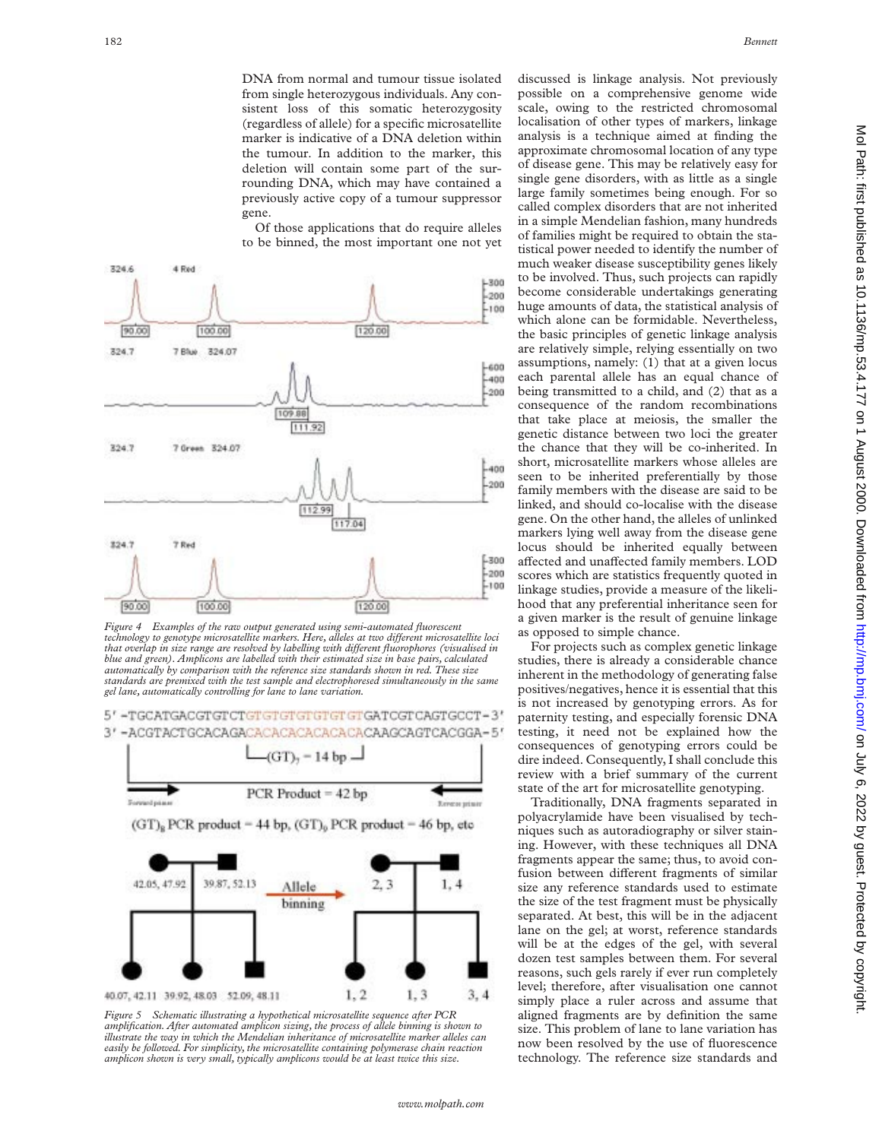DNA from normal and tumour tissue isolated from single heterozygous individuals. Any consistent loss of this somatic heterozygosity (regardless of allele) for a specific microsatellite marker is indicative of a DNA deletion within the tumour. In addition to the marker, this deletion will contain some part of the surrounding DNA, which may have contained a previously active copy of a tumour suppressor gene.

Of those applications that do require alleles to be binned, the most important one not yet



*Figure 4 Examples of the raw output generated using semi-automated fluorescent* technology to genotype microsatellite markers. Here, alleles at two different microsatellite loci *that overlap in size range are resolved by labelling with different fluorophores (visualised in blue and green). Amplicons are labelled with their estimated size in base pairs, calculated automatically by comparison with the reference size standards shown in red. These size standards are premixed with the test sample and electrophoresed simultaneously in the same gel lane, automatically controlling for lane to lane variation.*

5' -TGCATGACGTGTCTGTGTGTGTGTGTGTGTGATCGTCAGTGCCT-3' 3' -ACGTACTGCACAGACACACACACACACACAGCAGTCACGGA-5'



*Figure 5 Schematic illustrating a hypothetical microsatellite sequence after PCR amplification. After automated amplicon sizing, the process of allele binning is shown to illustrate the way in which the Mendelian inheritance of microsatellite marker alleles can easily be followed. For simplicity, the microsatellite containing polymerase chain reaction amplicon shown is very small, typically amplicons would be at least twice this size.*

discussed is linkage analysis. Not previously possible on a comprehensive genome wide scale, owing to the restricted chromosomal localisation of other types of markers, linkage analysis is a technique aimed at finding the approximate chromosomal location of any type of disease gene. This may be relatively easy for single gene disorders, with as little as a single large family sometimes being enough. For so called complex disorders that are not inherited in a simple Mendelian fashion, many hundreds of families might be required to obtain the statistical power needed to identify the number of much weaker disease susceptibility genes likely to be involved. Thus, such projects can rapidly become considerable undertakings generating huge amounts of data, the statistical analysis of which alone can be formidable. Nevertheless, the basic principles of genetic linkage analysis are relatively simple, relying essentially on two assumptions, namely: (1) that at a given locus each parental allele has an equal chance of being transmitted to a child, and (2) that as a consequence of the random recombinations that take place at meiosis, the smaller the genetic distance between two loci the greater the chance that they will be co-inherited. In short, microsatellite markers whose alleles are seen to be inherited preferentially by those family members with the disease are said to be linked, and should co-localise with the disease gene. On the other hand, the alleles of unlinked markers lying well away from the disease gene locus should be inherited equally between affected and unaffected family members. LOD scores which are statistics frequently quoted in linkage studies, provide a measure of the likelihood that any preferential inheritance seen for a given marker is the result of genuine linkage as opposed to simple chance.

For projects such as complex genetic linkage studies, there is already a considerable chance inherent in the methodology of generating false positives/negatives, hence it is essential that this is not increased by genotyping errors. As for paternity testing, and especially forensic DNA testing, it need not be explained how the consequences of genotyping errors could be dire indeed. Consequently, I shall conclude this review with a brief summary of the current state of the art for microsatellite genotyping.

Traditionally, DNA fragments separated in polyacrylamide have been visualised by techniques such as autoradiography or silver staining. However, with these techniques all DNA fragments appear the same; thus, to avoid confusion between different fragments of similar size any reference standards used to estimate the size of the test fragment must be physically separated. At best, this will be in the adjacent lane on the gel; at worst, reference standards will be at the edges of the gel, with several dozen test samples between them. For several reasons, such gels rarely if ever run completely level; therefore, after visualisation one cannot simply place a ruler across and assume that aligned fragments are by definition the same size. This problem of lane to lane variation has now been resolved by the use of fluorescence technology. The reference size standards and